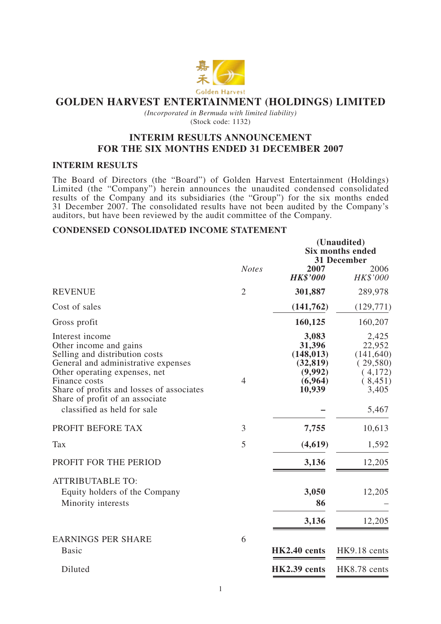

## **GOLDEN HARVEST ENTERTAINMENT (HOLDINGS) LIMITED**

*(Incorporated in Bermuda with limited liability)* (Stock code: 1132)

### **INTERIM RESULTS ANNOUNCEMENT FOR THE SIX MONTHS ENDED 31 DECEMBER 2007**

#### **INTERIM RESULTS**

The Board of Directors (the "Board") of Golden Harvest Entertainment (Holdings) Limited (the "Company") herein announces the unaudited condensed consolidated results of the Company and its subsidiaries (the "Group") for the six months ended 31 December 2007. The consolidated results have not been audited by the Company's auditors, but have been reviewed by the audit committee of the Company.

#### **CONDENSED CONSOLIDATED INCOME STATEMENT**

|                                                                                                                                                                                                                                                                                     |                |                                                                            | (Unaudited)<br><b>Six months ended</b><br>31 December                             |
|-------------------------------------------------------------------------------------------------------------------------------------------------------------------------------------------------------------------------------------------------------------------------------------|----------------|----------------------------------------------------------------------------|-----------------------------------------------------------------------------------|
|                                                                                                                                                                                                                                                                                     | <b>Notes</b>   | 2007<br><b>HK\$'000</b>                                                    | 2006<br>HK\$'000                                                                  |
| <b>REVENUE</b>                                                                                                                                                                                                                                                                      | $\overline{2}$ | 301,887                                                                    | 289,978                                                                           |
| Cost of sales                                                                                                                                                                                                                                                                       |                | (141,762)                                                                  | (129,771)                                                                         |
| Gross profit                                                                                                                                                                                                                                                                        |                | 160,125                                                                    | 160,207                                                                           |
| Interest income<br>Other income and gains<br>Selling and distribution costs<br>General and administrative expenses<br>Other operating expenses, net<br>Finance costs<br>Share of profits and losses of associates<br>Share of profit of an associate<br>classified as held for sale | $\overline{4}$ | 3,083<br>31,396<br>(148, 013)<br>(32, 819)<br>(9,992)<br>(6,964)<br>10,939 | 2,425<br>22,952<br>(141, 640)<br>(29,580)<br>(4,172)<br>(8,451)<br>3,405<br>5,467 |
| PROFIT BEFORE TAX                                                                                                                                                                                                                                                                   | 3              | 7,755                                                                      | 10,613                                                                            |
| Tax                                                                                                                                                                                                                                                                                 | 5              | (4,619)                                                                    | 1,592                                                                             |
| PROFIT FOR THE PERIOD                                                                                                                                                                                                                                                               |                | 3,136                                                                      | 12,205                                                                            |
| <b>ATTRIBUTABLE TO:</b><br>Equity holders of the Company<br>Minority interests                                                                                                                                                                                                      |                | 3,050<br>86<br>3,136                                                       | 12,205<br>12,205                                                                  |
| <b>EARNINGS PER SHARE</b><br>Basic                                                                                                                                                                                                                                                  | 6              | HK2.40 cents                                                               | HK9.18 cents                                                                      |
| Diluted                                                                                                                                                                                                                                                                             |                | HK2.39 cents                                                               | HK8.78 cents                                                                      |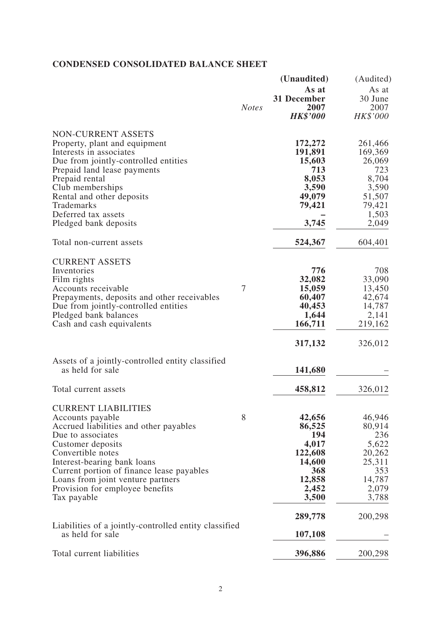# **CONDENSED CONSOLIDATED BALANCE SHEET**

|                                                                           |              | (Unaudited)      | (Audited)        |
|---------------------------------------------------------------------------|--------------|------------------|------------------|
|                                                                           |              | As at            | As at            |
|                                                                           |              | 31 December      | 30 June          |
|                                                                           | <b>Notes</b> | 2007             | 2007             |
|                                                                           |              | <b>HK\$'000</b>  | HK\$'000         |
| <b>NON-CURRENT ASSETS</b>                                                 |              |                  |                  |
| Property, plant and equipment                                             |              | 172,272          | 261,466          |
| Interests in associates                                                   |              | 191,891          | 169,369          |
| Due from jointly-controlled entities                                      |              | 15,603           | 26,069           |
| Prepaid land lease payments                                               |              | 713              | 723              |
| Prepaid rental                                                            |              | 8,053            | 8,704            |
| Club memberships                                                          |              | 3,590            | 3,590            |
| Rental and other deposits                                                 |              | 49,079           | 51,507           |
| Trademarks                                                                |              | 79,421           | 79,421           |
| Deferred tax assets<br>Pledged bank deposits                              |              | 3,745            | 1,503<br>2,049   |
|                                                                           |              |                  |                  |
| Total non-current assets                                                  |              | 524,367          | 604,401          |
| <b>CURRENT ASSETS</b>                                                     |              |                  |                  |
| Inventories                                                               |              | 776              | 708              |
| Film rights                                                               |              | 32,082           | 33,090           |
| Accounts receivable                                                       | 7            | 15,059           | 13,450           |
| Prepayments, deposits and other receivables                               |              | 60,407           | 42,674           |
| Due from jointly-controlled entities                                      |              | 40,453           | 14,787           |
| Pledged bank balances<br>Cash and cash equivalents                        |              | 1,644<br>166,711 | 2,141<br>219,162 |
|                                                                           |              |                  |                  |
|                                                                           |              | 317,132          | 326,012          |
| Assets of a jointly-controlled entity classified                          |              |                  |                  |
| as held for sale                                                          |              | 141,680          |                  |
| Total current assets                                                      |              | 458,812          | 326,012          |
| <b>CURRENT LIABILITIES</b>                                                |              |                  |                  |
| Accounts payable                                                          | 8            | 42,656           | 46,946           |
| Accrued liabilities and other payables                                    |              | 86,525           | 80,914           |
| Due to associates                                                         |              | 194              | 236              |
| Customer deposits                                                         |              | 4,017            | 5,622            |
| Convertible notes                                                         |              | 122,608          | 20,262           |
| Interest-bearing bank loans                                               |              | 14,600           | 25,311           |
| Current portion of finance lease payables                                 |              | 368              | 353              |
| Loans from joint venture partners                                         |              | 12,858           | 14,787           |
| Provision for employee benefits                                           |              | 2,452            | 2,079            |
| Tax payable                                                               |              | 3,500            | 3,788            |
|                                                                           |              | 289,778          | 200,298          |
| Liabilities of a jointly-controlled entity classified<br>as held for sale |              | 107,108          |                  |
| Total current liabilities                                                 |              | 396,886          | 200,298          |
|                                                                           |              |                  |                  |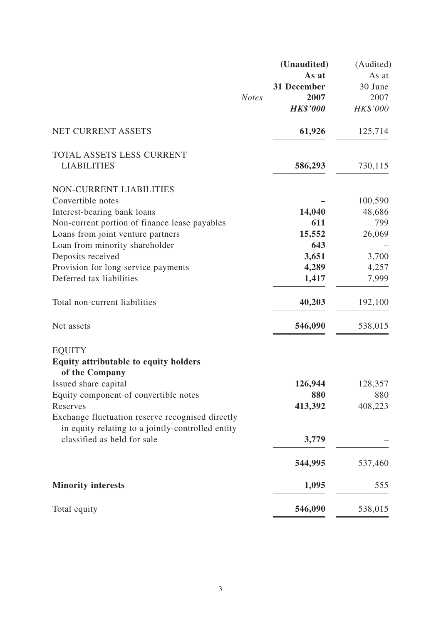|                                                                |              | (Unaudited)     | (Audited) |
|----------------------------------------------------------------|--------------|-----------------|-----------|
|                                                                |              | As at           | As at     |
|                                                                |              | 31 December     | 30 June   |
|                                                                | <b>Notes</b> | 2007            | 2007      |
|                                                                |              | <b>HK\$'000</b> | HK\$'000  |
| NET CURRENT ASSETS                                             |              | 61,926          | 125,714   |
| TOTAL ASSETS LESS CURRENT                                      |              |                 |           |
| <b>LIABILITIES</b>                                             |              | 586,293         | 730,115   |
| <b>NON-CURRENT LIABILITIES</b>                                 |              |                 |           |
| Convertible notes                                              |              |                 | 100,590   |
| Interest-bearing bank loans                                    |              | 14,040          | 48,686    |
| Non-current portion of finance lease payables                  |              | 611             | 799       |
| Loans from joint venture partners                              |              | 15,552          | 26,069    |
| Loan from minority shareholder                                 |              | 643             |           |
| Deposits received                                              |              | 3,651           | 3,700     |
| Provision for long service payments                            |              | 4,289           | 4,257     |
| Deferred tax liabilities                                       |              | 1,417           | 7,999     |
| Total non-current liabilities                                  |              | 40,203          | 192,100   |
| Net assets                                                     |              | 546,090         | 538,015   |
| <b>EQUITY</b>                                                  |              |                 |           |
| <b>Equity attributable to equity holders</b><br>of the Company |              |                 |           |
| Issued share capital                                           |              | 126,944         | 128,357   |
| Equity component of convertible notes                          |              | 880             | 880       |
| Reserves                                                       |              | 413,392         | 408,223   |
| Exchange fluctuation reserve recognised directly               |              |                 |           |
| in equity relating to a jointly-controlled entity              |              |                 |           |
| classified as held for sale                                    |              | 3,779           |           |
|                                                                |              | 544,995         | 537,460   |
| <b>Minority interests</b>                                      |              | 1,095           | 555       |
| Total equity                                                   |              | 546,090         | 538,015   |
|                                                                |              |                 |           |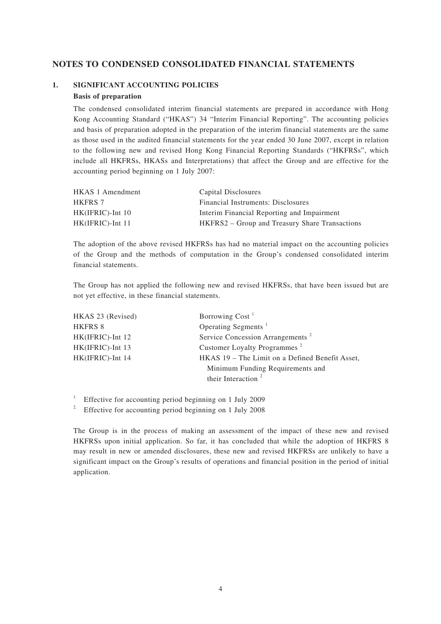### **NOTES TO CONDENSED CONSOLIDATED FINANCIAL STATEMENTS**

# **1. SIGNIFICANT ACCOUNTING POLICIES**

### **Basis of preparation**

The condensed consolidated interim financial statements are prepared in accordance with Hong Kong Accounting Standard ("HKAS") 34 "Interim Financial Reporting". The accounting policies and basis of preparation adopted in the preparation of the interim financial statements are the same as those used in the audited financial statements for the year ended 30 June 2007, except in relation to the following new and revised Hong Kong Financial Reporting Standards ("HKFRSs", which include all HKFRSs, HKASs and Interpretations) that affect the Group and are effective for the accounting period beginning on 1 July 2007:

| <b>HKAS 1 Amendment</b> | Capital Disclosures                            |
|-------------------------|------------------------------------------------|
| <b>HKFRS 7</b>          | Financial Instruments: Disclosures             |
| $HK(IFRIC)$ -Int 10     | Interim Financial Reporting and Impairment     |
| $HK(IFRIC)$ -Int 11     | HKFRS2 – Group and Treasury Share Transactions |

The adoption of the above revised HKFRSs has had no material impact on the accounting policies of the Group and the methods of computation in the Group's condensed consolidated interim financial statements.

The Group has not applied the following new and revised HKFRSs, that have been issued but are not yet effective, in these financial statements.

| HKAS 23 (Revised) | Borrowing Cost <sup>1</sup>                     |
|-------------------|-------------------------------------------------|
| <b>HKFRS 8</b>    | Operating Segments <sup>1</sup>                 |
| HK(IFRIC)-Int 12  | Service Concession Arrangements <sup>2</sup>    |
| HK(IFRIC)-Int 13  | Customer Loyalty Programmes <sup>2</sup>        |
| HK(IFRIC)-Int 14  | HKAS 19 – The Limit on a Defined Benefit Asset, |
|                   | Minimum Funding Requirements and                |
|                   | their Interaction <sup>2</sup>                  |

<sup>1.</sup> Effective for accounting period beginning on 1 July 2009

<sup>2.</sup> Effective for accounting period beginning on 1 July 2008

The Group is in the process of making an assessment of the impact of these new and revised HKFRSs upon initial application. So far, it has concluded that while the adoption of HKFRS 8 may result in new or amended disclosures, these new and revised HKFRSs are unlikely to have a significant impact on the Group's results of operations and financial position in the period of initial application.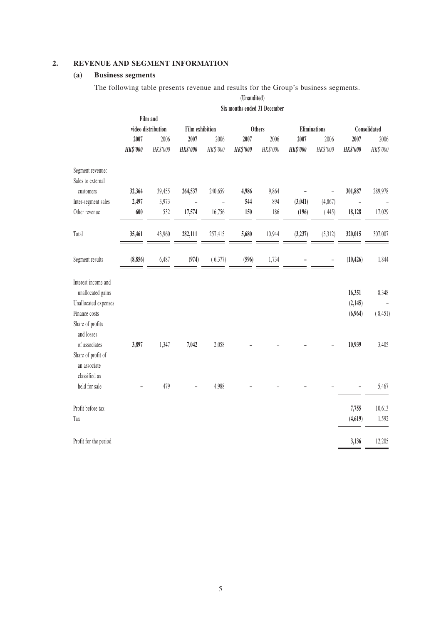### **2. REVENUE AND SEGMENT INFORMATION**

#### **(a) Business segments**

The following table presents revenue and results for the Group's business segments.

**(Unaudited) Six months ended 31 December Film and video distribution Film exhibition Others Eliminations Consolidated 2007** 2006 **2007** 2006 **2007** 2006 **2007** 2006 **2007** 2006 *HK\$'000 HK\$'000 HK\$'000 HK\$'000 HK\$'000 HK\$'000 HK\$'000 HK\$'000 HK\$'000 HK\$'000* Segment revenue: Sales to external customers **32,364** 39,455 **264,537** 240,659 **4,986** 9,864 **–** – **301,887** 289,978 Inter-segment sales **2,497** 3,973 **–** – **544** 894 **(3,041)** (4,867) **–** – Other revenue **600** 532 **17,574** 16,756 **150** 186 **(196)** ( 445) **18,128** 17,029 Total **35,461** 43,960 **282,111** 257,415 **5,680** 10,944 **(3,237)** (5,312) **320,015** 307,007 Segment results **(8,856)** 6,487 **(974)** ( 6,377) **(596)** 1,734 **–** – **(10,426)** 1,844 Interest income and unallocated gains **16,351** 8,348 Unallocated expenses **(2,145)** – Finance costs **(6,964)** ( 8,451) Share of profits and losses of associates **3,897** 1,347 **7,042** 2,058 **–** – **–** – **10,939** 3,405 Share of profit of an associate classified as held for sale **–** 479 **–** 4,988 **–** – **–** – **–** 5,467 Profit before tax **7,755** 10,613 Tax **(4,619)** 1,592 Profit for the period **3,136** 12,205

5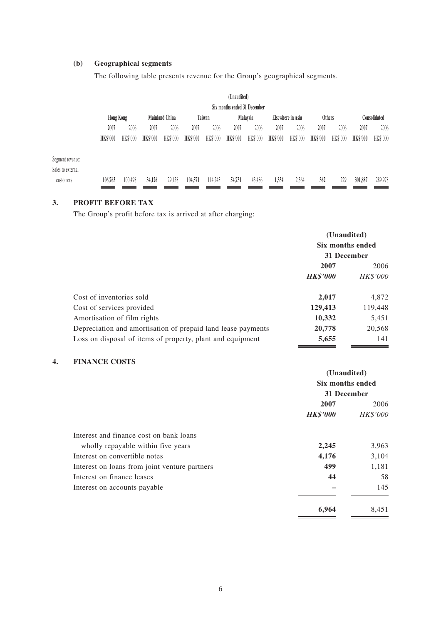### **(b) Geographical segments**

The following table presents revenue for the Group's geographical segments.

|                   |                  |          |                 |                       |                 |          | (Unaudited)                  |          |                 |                   |                 |          |                 |              |
|-------------------|------------------|----------|-----------------|-----------------------|-----------------|----------|------------------------------|----------|-----------------|-------------------|-----------------|----------|-----------------|--------------|
|                   |                  |          |                 |                       |                 |          | Six months ended 31 December |          |                 |                   |                 |          |                 |              |
|                   | <b>Hong Kong</b> |          |                 | <b>Mainland China</b> |                 | Taiwan   |                              | Malaysia |                 | Elsewhere in Asia | <b>Others</b>   |          |                 | Consolidated |
|                   | 2007             | 2006     | 2007            | 2006                  | 2007            | 2006     | 2007                         | 2006     | 2007            | 2006              | 2007            | 2006     | 2007            | 2006         |
|                   | <b>HK\$'000</b>  | HK\$'000 | <b>HK\$'000</b> | HK\$'000              | <b>HK\$'000</b> | HK\$'000 | <b>HK\$'000</b>              | HK\$'000 | <b>HK\$'000</b> | HK\$'000          | <b>HK\$'000</b> | HK\$'000 | <b>HK\$'000</b> | HK\$'000     |
| Segment revenue:  |                  |          |                 |                       |                 |          |                              |          |                 |                   |                 |          |                 |              |
| Sales to external |                  |          |                 |                       |                 |          |                              |          |                 |                   |                 |          |                 |              |
| customers         | 106,763          | 100,498  | 34,126          | 29,158                | 104,571         | 114,243  | 54,731                       | 43,486   | 1,334           | 2,364             | 362             | 229      | 301,887         | 289,978      |

#### **3. PROFIT BEFORE TAX**

The Group's profit before tax is arrived at after charging:

|                                                              | (Unaudited)<br>Six months ended<br>31 December |          |  |
|--------------------------------------------------------------|------------------------------------------------|----------|--|
|                                                              | 2007<br>2006                                   |          |  |
|                                                              | <b>HK\$'000</b>                                | HK\$'000 |  |
| Cost of inventories sold                                     | 2,017                                          | 4,872    |  |
| Cost of services provided                                    | 129,413                                        | 119,448  |  |
| Amortisation of film rights                                  | 10,332                                         | 5,451    |  |
| Depreciation and amortisation of prepaid land lease payments | 20,778                                         | 20,568   |  |
| Loss on disposal of items of property, plant and equipment   | 5,655                                          | 141      |  |

### **4. FINANCE COSTS**

|                                               | (Unaudited)      |          |
|-----------------------------------------------|------------------|----------|
|                                               | Six months ended |          |
|                                               | 31 December      |          |
|                                               | 2007             | 2006     |
|                                               | <b>HK\$'000</b>  | HK\$'000 |
| Interest and finance cost on bank loans       |                  |          |
| wholly repayable within five years            | 2,245            | 3,963    |
| Interest on convertible notes                 | 4,176            | 3,104    |
| Interest on loans from joint venture partners | 499              | 1,181    |
| Interest on finance leases                    | 44               | 58       |
| Interest on accounts payable                  |                  | 145      |
|                                               | 6.964            | 8,451    |

 $\equiv$ 

 $\equiv$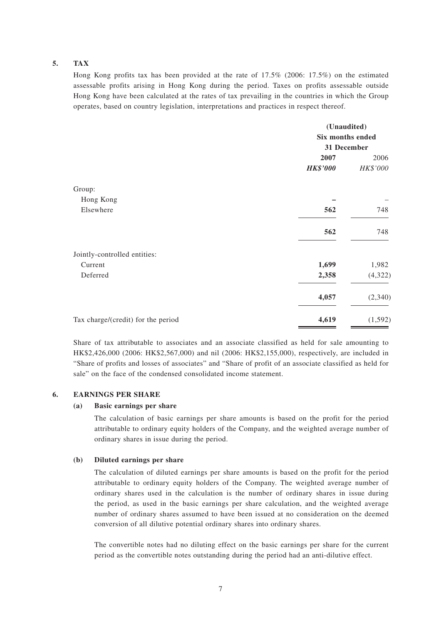#### **5. TAX**

Hong Kong profits tax has been provided at the rate of 17.5% (2006: 17.5%) on the estimated assessable profits arising in Hong Kong during the period. Taxes on profits assessable outside Hong Kong have been calculated at the rates of tax prevailing in the countries in which the Group operates, based on country legislation, interpretations and practices in respect thereof.

|                                    | (Unaudited)      |          |  |
|------------------------------------|------------------|----------|--|
|                                    | Six months ended |          |  |
|                                    | 31 December      |          |  |
|                                    | 2007             | 2006     |  |
|                                    | <b>HK\$'000</b>  | HK\$'000 |  |
| Group:                             |                  |          |  |
| Hong Kong                          |                  |          |  |
| Elsewhere                          | 562              | 748      |  |
|                                    | 562              | 748      |  |
| Jointly-controlled entities:       |                  |          |  |
| Current                            | 1,699            | 1,982    |  |
| Deferred                           | 2,358            | (4,322)  |  |
|                                    | 4,057            | (2,340)  |  |
| Tax charge/(credit) for the period | 4,619            | (1, 592) |  |

Share of tax attributable to associates and an associate classified as held for sale amounting to HK\$2,426,000 (2006: HK\$2,567,000) and nil (2006: HK\$2,155,000), respectively, are included in "Share of profits and losses of associates" and "Share of profit of an associate classified as held for sale" on the face of the condensed consolidated income statement.

#### **6. EARNINGS PER SHARE**

#### **(a) Basic earnings per share**

The calculation of basic earnings per share amounts is based on the profit for the period attributable to ordinary equity holders of the Company, and the weighted average number of ordinary shares in issue during the period.

#### **(b) Diluted earnings per share**

The calculation of diluted earnings per share amounts is based on the profit for the period attributable to ordinary equity holders of the Company. The weighted average number of ordinary shares used in the calculation is the number of ordinary shares in issue during the period, as used in the basic earnings per share calculation, and the weighted average number of ordinary shares assumed to have been issued at no consideration on the deemed conversion of all dilutive potential ordinary shares into ordinary shares.

The convertible notes had no diluting effect on the basic earnings per share for the current period as the convertible notes outstanding during the period had an anti-dilutive effect.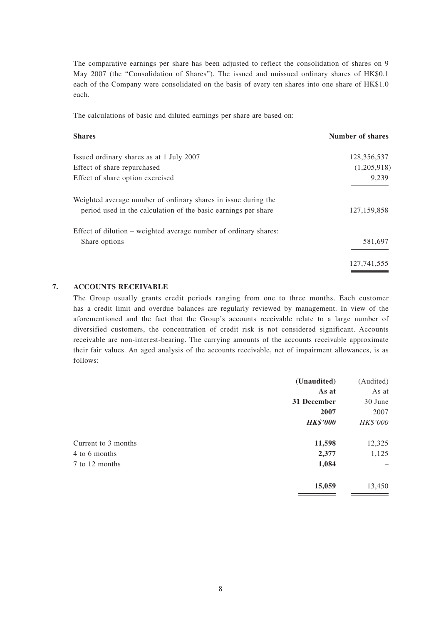The comparative earnings per share has been adjusted to reflect the consolidation of shares on 9 May 2007 (the "Consolidation of Shares"). The issued and unissued ordinary shares of HK\$0.1 each of the Company were consolidated on the basis of every ten shares into one share of HK\$1.0 each.

The calculations of basic and diluted earnings per share are based on:

| Number of shares |
|------------------|
| 128,356,537      |
| (1,205,918)      |
| 9,239            |
|                  |
| 127, 159, 858    |
|                  |
| 581,697          |
| 127, 741, 555    |
|                  |

#### **7. ACCOUNTS RECEIVABLE**

The Group usually grants credit periods ranging from one to three months. Each customer has a credit limit and overdue balances are regularly reviewed by management. In view of the aforementioned and the fact that the Group's accounts receivable relate to a large number of diversified customers, the concentration of credit risk is not considered significant. Accounts receivable are non-interest-bearing. The carrying amounts of the accounts receivable approximate their fair values. An aged analysis of the accounts receivable, net of impairment allowances, is as follows:

|                     | (Unaudited)     | (Audited) |
|---------------------|-----------------|-----------|
|                     | As at           | As at     |
|                     | 31 December     | 30 June   |
|                     | 2007            | 2007      |
|                     | <b>HK\$'000</b> | HK\$'000  |
| Current to 3 months | 11,598          | 12,325    |
| 4 to 6 months       | 2,377           | 1,125     |
| 7 to 12 months      | 1,084           |           |
|                     | 15,059          | 13,450    |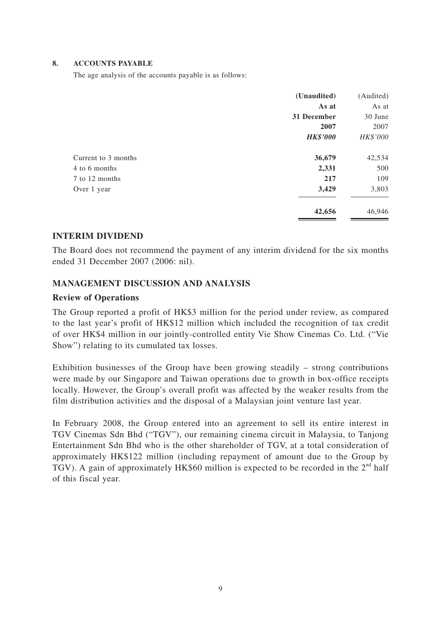#### **8. ACCOUNTS PAYABLE**

The age analysis of the accounts payable is as follows:

|                     | (Unaudited)     | (Audited) |
|---------------------|-----------------|-----------|
|                     | As at           | As at     |
|                     | 31 December     | 30 June   |
|                     | 2007            | 2007      |
|                     | <b>HK\$'000</b> | HK\$'000  |
| Current to 3 months | 36,679          | 42,534    |
| 4 to 6 months       | 2,331           | 500       |
| 7 to 12 months      | 217             | 109       |
| Over 1 year         | 3,429           | 3,803     |
|                     | 42,656          | 46,946    |

### **INTERIM DIVIDEND**

The Board does not recommend the payment of any interim dividend for the six months ended 31 December 2007 (2006: nil).

### **MANAGEMENT DISCUSSION AND ANALYSIS**

### **Review of Operations**

The Group reported a profit of HK\$3 million for the period under review, as compared to the last year's profit of HK\$12 million which included the recognition of tax credit of over HK\$4 million in our jointly-controlled entity Vie Show Cinemas Co. Ltd. ("Vie Show") relating to its cumulated tax losses.

Exhibition businesses of the Group have been growing steadily – strong contributions were made by our Singapore and Taiwan operations due to growth in box-office receipts locally. However, the Group's overall profit was affected by the weaker results from the film distribution activities and the disposal of a Malaysian joint venture last year.

In February 2008, the Group entered into an agreement to sell its entire interest in TGV Cinemas Sdn Bhd ("TGV"), our remaining cinema circuit in Malaysia, to Tanjong Entertainment Sdn Bhd who is the other shareholder of TGV, at a total consideration of approximately HK\$122 million (including repayment of amount due to the Group by TGV). A gain of approximately HK\$60 million is expected to be recorded in the  $2<sup>nd</sup>$  half of this fiscal year.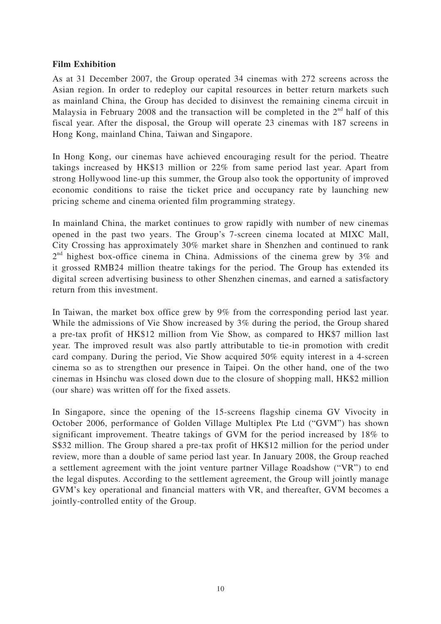### **Film Exhibition**

As at 31 December 2007, the Group operated 34 cinemas with 272 screens across the Asian region. In order to redeploy our capital resources in better return markets such as mainland China, the Group has decided to disinvest the remaining cinema circuit in Malaysia in February 2008 and the transaction will be completed in the  $2<sup>nd</sup>$  half of this fiscal year. After the disposal, the Group will operate 23 cinemas with 187 screens in Hong Kong, mainland China, Taiwan and Singapore.

In Hong Kong, our cinemas have achieved encouraging result for the period. Theatre takings increased by HK\$13 million or 22% from same period last year. Apart from strong Hollywood line-up this summer, the Group also took the opportunity of improved economic conditions to raise the ticket price and occupancy rate by launching new pricing scheme and cinema oriented film programming strategy.

In mainland China, the market continues to grow rapidly with number of new cinemas opened in the past two years. The Group's 7-screen cinema located at MIXC Mall, City Crossing has approximately 30% market share in Shenzhen and continued to rank  $2<sup>nd</sup>$  highest box-office cinema in China. Admissions of the cinema grew by 3% and it grossed RMB24 million theatre takings for the period. The Group has extended its digital screen advertising business to other Shenzhen cinemas, and earned a satisfactory return from this investment.

In Taiwan, the market box office grew by 9% from the corresponding period last year. While the admissions of Vie Show increased by 3% during the period, the Group shared a pre-tax profit of HK\$12 million from Vie Show, as compared to HK\$7 million last year. The improved result was also partly attributable to tie-in promotion with credit card company. During the period, Vie Show acquired 50% equity interest in a 4-screen cinema so as to strengthen our presence in Taipei. On the other hand, one of the two cinemas in Hsinchu was closed down due to the closure of shopping mall, HK\$2 million (our share) was written off for the fixed assets.

In Singapore, since the opening of the 15-screens flagship cinema GV Vivocity in October 2006, performance of Golden Village Multiplex Pte Ltd ("GVM") has shown significant improvement. Theatre takings of GVM for the period increased by 18% to S\$32 million. The Group shared a pre-tax profit of HK\$12 million for the period under review, more than a double of same period last year. In January 2008, the Group reached a settlement agreement with the joint venture partner Village Roadshow ("VR") to end the legal disputes. According to the settlement agreement, the Group will jointly manage GVM's key operational and financial matters with VR, and thereafter, GVM becomes a jointly-controlled entity of the Group.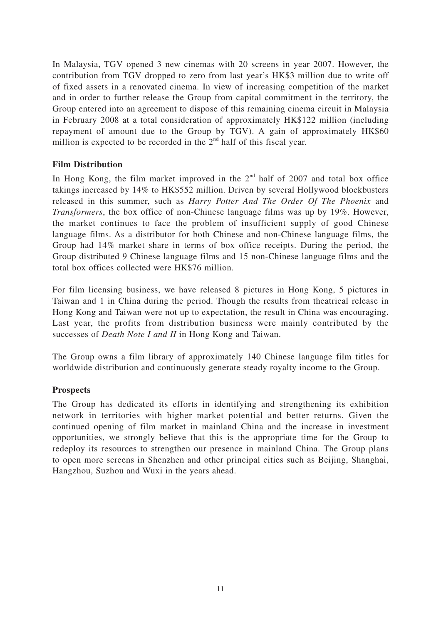In Malaysia, TGV opened 3 new cinemas with 20 screens in year 2007. However, the contribution from TGV dropped to zero from last year's HK\$3 million due to write off of fixed assets in a renovated cinema. In view of increasing competition of the market and in order to further release the Group from capital commitment in the territory, the Group entered into an agreement to dispose of this remaining cinema circuit in Malaysia in February 2008 at a total consideration of approximately HK\$122 million (including repayment of amount due to the Group by TGV). A gain of approximately HK\$60 million is expected to be recorded in the  $2<sup>nd</sup>$  half of this fiscal year.

### **Film Distribution**

In Hong Kong, the film market improved in the  $2<sup>nd</sup>$  half of 2007 and total box office takings increased by 14% to HK\$552 million. Driven by several Hollywood blockbusters released in this summer, such as *Harry Potter And The Order Of The Phoenix* and *Transformers*, the box office of non-Chinese language films was up by 19%. However, the market continues to face the problem of insufficient supply of good Chinese language films. As a distributor for both Chinese and non-Chinese language films, the Group had 14% market share in terms of box office receipts. During the period, the Group distributed 9 Chinese language films and 15 non-Chinese language films and the total box offices collected were HK\$76 million.

For film licensing business, we have released 8 pictures in Hong Kong, 5 pictures in Taiwan and 1 in China during the period. Though the results from theatrical release in Hong Kong and Taiwan were not up to expectation, the result in China was encouraging. Last year, the profits from distribution business were mainly contributed by the successes of *Death Note I and II* in Hong Kong and Taiwan.

The Group owns a film library of approximately 140 Chinese language film titles for worldwide distribution and continuously generate steady royalty income to the Group.

### **Prospects**

The Group has dedicated its efforts in identifying and strengthening its exhibition network in territories with higher market potential and better returns. Given the continued opening of film market in mainland China and the increase in investment opportunities, we strongly believe that this is the appropriate time for the Group to redeploy its resources to strengthen our presence in mainland China. The Group plans to open more screens in Shenzhen and other principal cities such as Beijing, Shanghai, Hangzhou, Suzhou and Wuxi in the years ahead.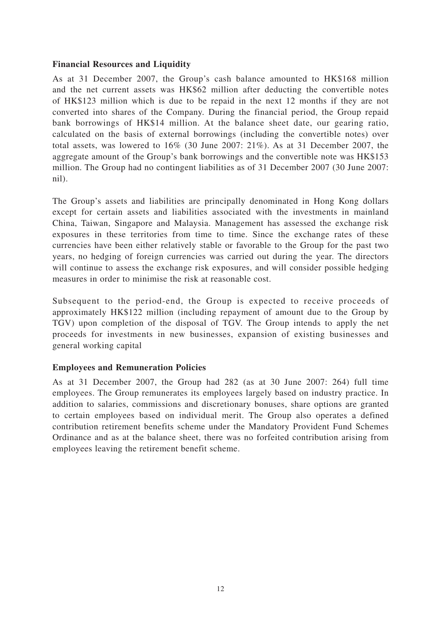### **Financial Resources and Liquidity**

As at 31 December 2007, the Group's cash balance amounted to HK\$168 million and the net current assets was HK\$62 million after deducting the convertible notes of HK\$123 million which is due to be repaid in the next 12 months if they are not converted into shares of the Company. During the financial period, the Group repaid bank borrowings of HK\$14 million. At the balance sheet date, our gearing ratio, calculated on the basis of external borrowings (including the convertible notes) over total assets, was lowered to 16% (30 June 2007: 21%). As at 31 December 2007, the aggregate amount of the Group's bank borrowings and the convertible note was HK\$153 million. The Group had no contingent liabilities as of 31 December 2007 (30 June 2007: nil).

The Group's assets and liabilities are principally denominated in Hong Kong dollars except for certain assets and liabilities associated with the investments in mainland China, Taiwan, Singapore and Malaysia. Management has assessed the exchange risk exposures in these territories from time to time. Since the exchange rates of these currencies have been either relatively stable or favorable to the Group for the past two years, no hedging of foreign currencies was carried out during the year. The directors will continue to assess the exchange risk exposures, and will consider possible hedging measures in order to minimise the risk at reasonable cost.

Subsequent to the period-end, the Group is expected to receive proceeds of approximately HK\$122 million (including repayment of amount due to the Group by TGV) upon completion of the disposal of TGV. The Group intends to apply the net proceeds for investments in new businesses, expansion of existing businesses and general working capital

### **Employees and Remuneration Policies**

As at 31 December 2007, the Group had 282 (as at 30 June 2007: 264) full time employees. The Group remunerates its employees largely based on industry practice. In addition to salaries, commissions and discretionary bonuses, share options are granted to certain employees based on individual merit. The Group also operates a defined contribution retirement benefits scheme under the Mandatory Provident Fund Schemes Ordinance and as at the balance sheet, there was no forfeited contribution arising from employees leaving the retirement benefit scheme.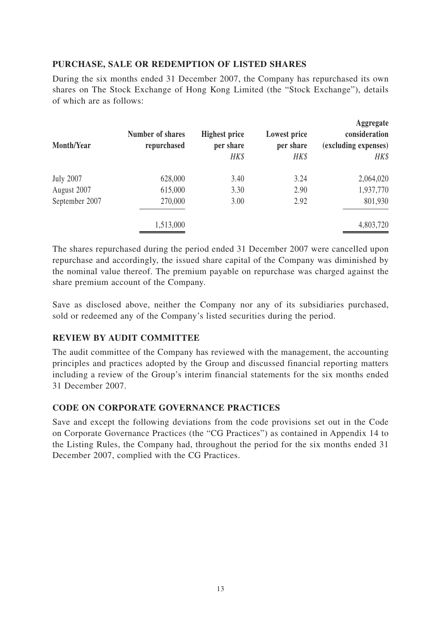# **PURCHASE, SALE OR REDEMPTION OF LISTED SHARES**

During the six months ended 31 December 2007, the Company has repurchased its own shares on The Stock Exchange of Hong Kong Limited (the "Stock Exchange"), details of which are as follows:

| <b>Month/Year</b> | Number of shares<br>repurchased | <b>Highest price</b><br>per share<br>HK\$ | Lowest price<br>per share<br>HK\$ | Aggregate<br>consideration<br>(excluding expenses)<br>HK\$ |
|-------------------|---------------------------------|-------------------------------------------|-----------------------------------|------------------------------------------------------------|
| <b>July 2007</b>  | 628,000                         | 3.40                                      | 3.24                              | 2,064,020                                                  |
| August 2007       | 615,000                         | 3.30                                      | 2.90                              | 1,937,770                                                  |
| September 2007    | 270,000                         | 3.00                                      | 2.92                              | 801,930                                                    |
|                   | 1,513,000                       |                                           |                                   | 4,803,720                                                  |

The shares repurchased during the period ended 31 December 2007 were cancelled upon repurchase and accordingly, the issued share capital of the Company was diminished by the nominal value thereof. The premium payable on repurchase was charged against the share premium account of the Company.

Save as disclosed above, neither the Company nor any of its subsidiaries purchased, sold or redeemed any of the Company's listed securities during the period.

### **REVIEW BY AUDIT COMMITTEE**

The audit committee of the Company has reviewed with the management, the accounting principles and practices adopted by the Group and discussed financial reporting matters including a review of the Group's interim financial statements for the six months ended 31 December 2007.

### **CODE ON CORPORATE GOVERNANCE PRACTICES**

Save and except the following deviations from the code provisions set out in the Code on Corporate Governance Practices (the "CG Practices") as contained in Appendix 14 to the Listing Rules, the Company had, throughout the period for the six months ended 31 December 2007, complied with the CG Practices.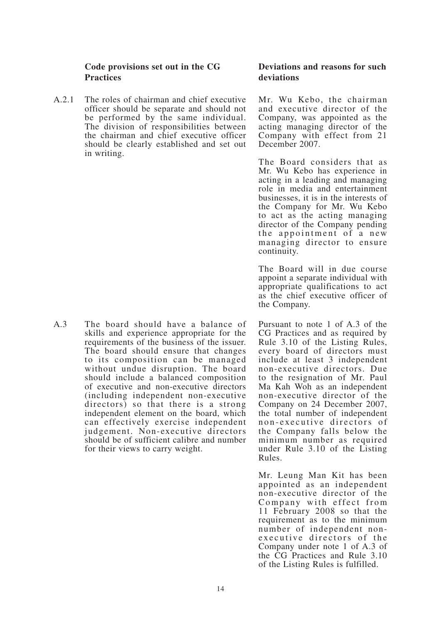### **Code provisions set out in the CG Practices**

A.2.1 The roles of chairman and chief executive officer should be separate and should not be performed by the same individual. The division of responsibilities between the chairman and chief executive officer should be clearly established and set out in writing.

A.3 The board should have a balance of skills and experience appropriate for the requirements of the business of the issuer. The board should ensure that changes to its composition can be managed without undue disruption. The board should include a balanced composition of executive and non-executive directors (including independent non-executive directors) so that there is a strong independent element on the board, which can effectively exercise independent judgement. Non-executive directors should be of sufficient calibre and number for their views to carry weight.

### **Deviations and reasons for such deviations**

Mr. Wu Kebo, the chairman and executive director of the Company, was appointed as the acting managing director of the Company with effect from 21 December 2007.

The Board considers that as Mr. Wu Kebo has experience in acting in a leading and managing role in media and entertainment businesses, it is in the interests of the Company for Mr. Wu Kebo to act as the acting managing director of the Company pending the appointment of a new managing director to ensure continuity.

The Board will in due course appoint a separate individual with appropriate qualifications to act as the chief executive officer of the Company.

Pursuant to note 1 of A.3 of the CG Practices and as required by Rule 3.10 of the Listing Rules, every board of directors must include at least 3 independent non-executive directors. Due to the resignation of Mr. Paul Ma Kah Woh as an independent non-executive director of the Company on 24 December 2007, the total number of independent non-executive directors of the Company falls below the minimum number as required under Rule 3.10 of the Listing Rules.

Mr. Leung Man Kit has been appointed as an independent non-executive director of the Company with effect from 11 February 2008 so that the requirement as to the minimum number of independent nonexecutive directors of the Company under note 1 of A.3 of the CG Practices and Rule 3.10 of the Listing Rules is fulfilled.